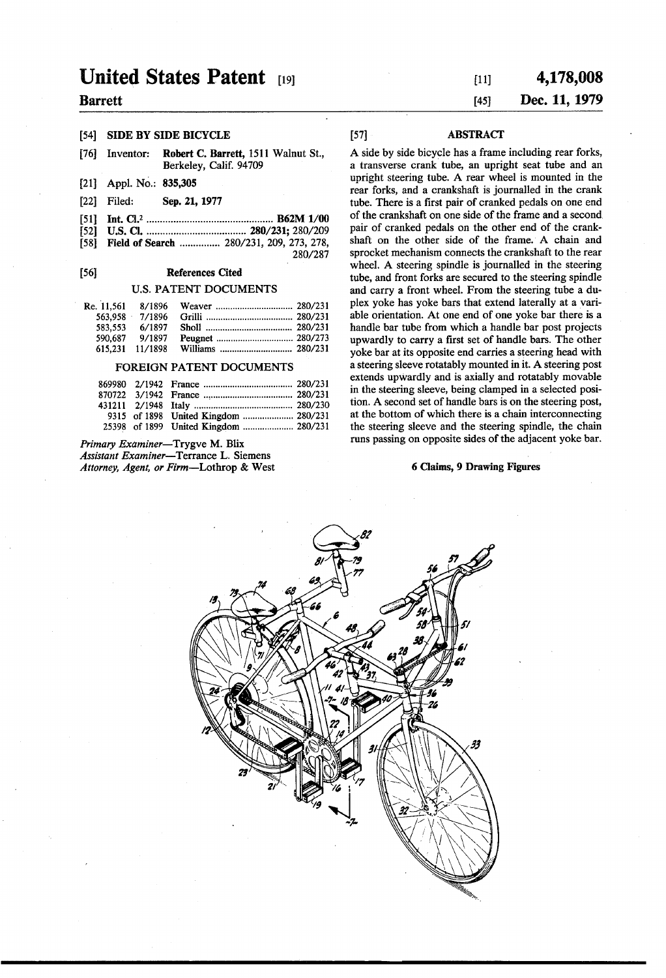# United States Patent [191]

# Barrett

## [54] SIDE BY SIDE BICYCLE

- [76] Inventor: Robert C. Barrett, 1511 Walnut St., Berkeley, Calif. 94709
- [21] Appl. No.: 835,305
- [22] Filed: Sep. 21, 1977
- [51] Int. Cl.z ............................................. .. 1362M 1/00
- [52] US. Cl. ............................... .. 280/231; 280/ 209
- Field of Search ............... 280/231, 209, 273, 278, 280/287

## [56] References Cited

### U.S. PATENT DOCUMENTS

| 590.687 9/1897  |  |
|-----------------|--|
| 615.231 11/1898 |  |

#### FOREIGN PATENT DOCUMENTS

## Primary Examiner—Trygve M. Blix

Assistant Examiner-Terrance L. Siemens Attorney, Agent, or Firm-Lothrop & West

# [57] ABSTRACI'

A side by side bicycle has a frame including rear forks, a transverse crank tube, an upright seat tube and an upright steering tube. A rear wheel is mounted in the rear forks, and a crankshaft is journalled in the crank tube. There is a first pair of cranked pedals on one end of the crankshaft on one side of the frame and a second. pair of cranked pedals on the other end of the crank shaft on the other side of the frame. A chain and sprocket mechanism connects the crankshaft to the rear wheel. A steering spindle is journalled in the steering tube, and front forks are secured to the steering spindle and carry a front wheel. From the steering tube a du plex yoke has yoke bars that extend laterally at a vari able orientation. At one end of one yoke bar there is a handle bar tube from which a handle bar post projects upwardly to carry a first set of handle bars. The other yoke bar at its opposite end carries a steering head with a steering sleeve rotatably mounted in it. A steering post extends upwardly and is axially and rotatably movable in the steering sleeve, being clamped in a selected posi tion. A second set of handle bars is on the steering post, at the bottom of which there is a chain interconnecting the steering sleeve and the steering spindle, the chain runs passing on opposite sides of the adjacent yoke bar.

### 6 Claims, 9 Drawing Figures



# $[11]$  4,178,008

[45] **Dec. 11, 1979**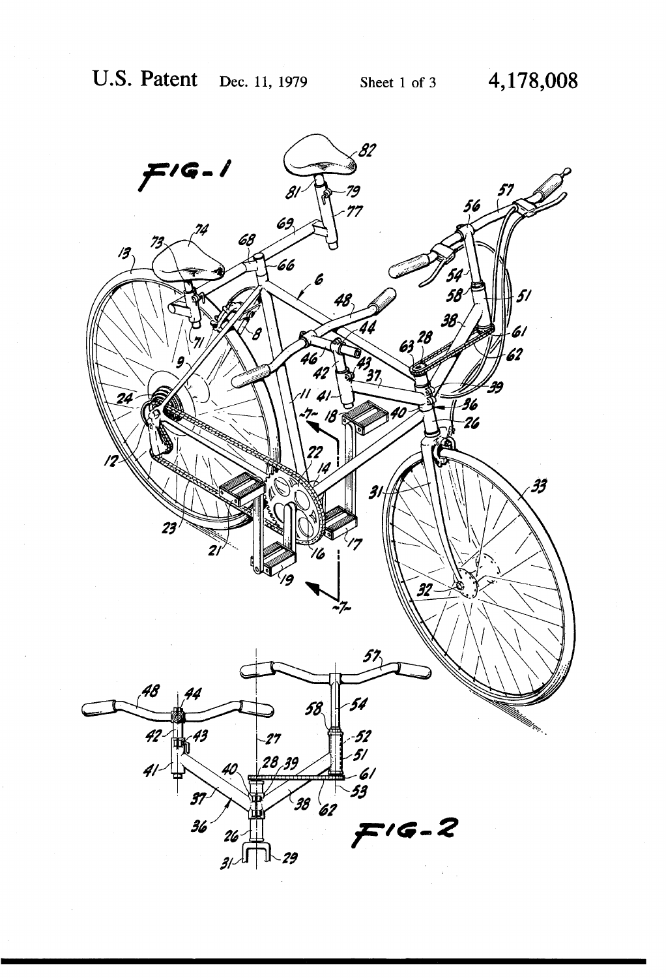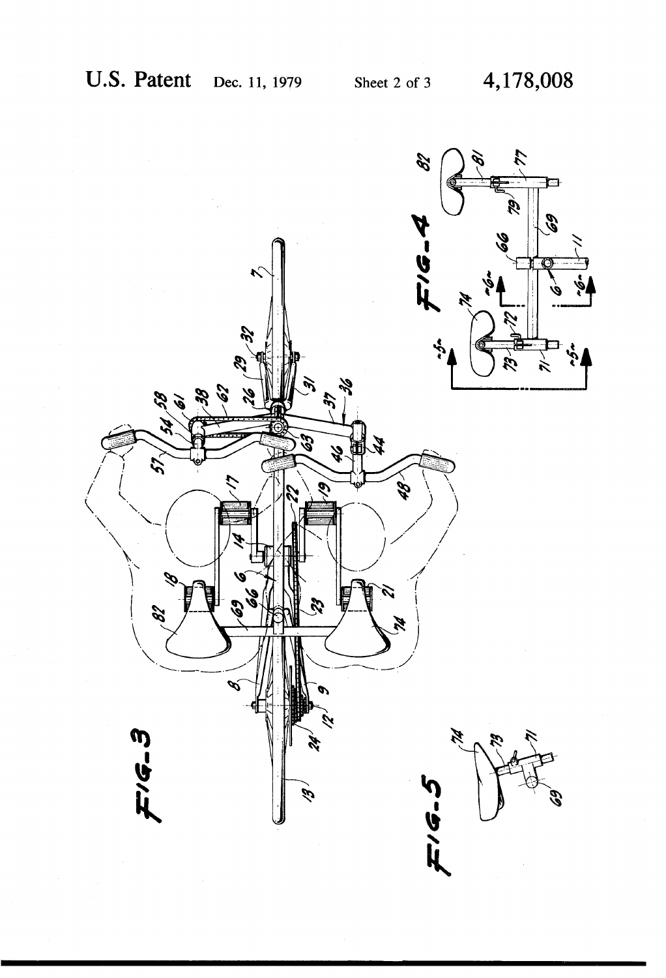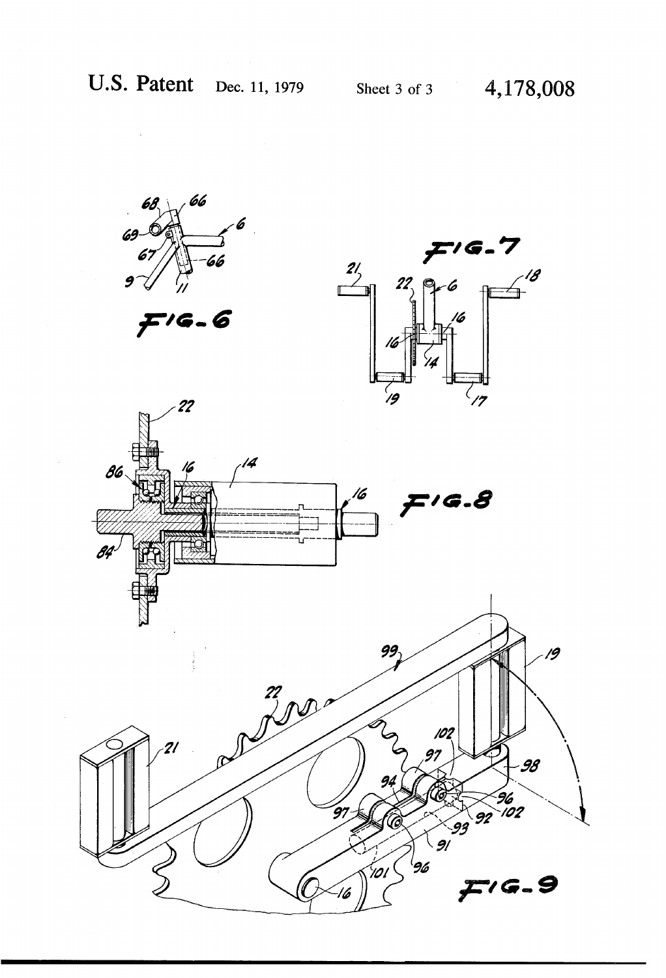U.S. Patent Dec. 11, 1979 Sheet 3 of 3 4, 178, 008



 $716.6$ 



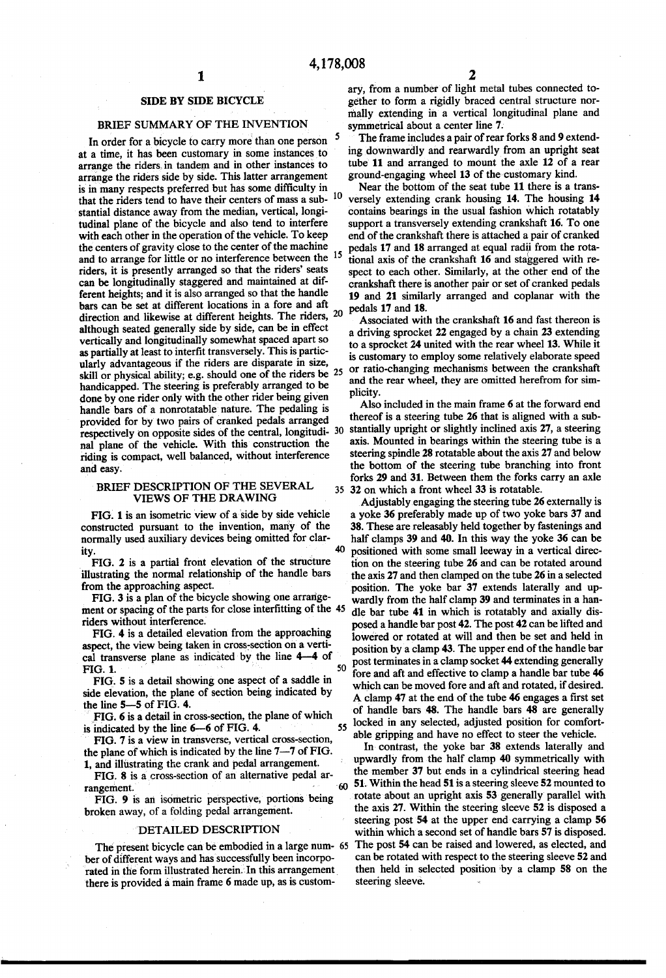# SIDE BY SIDE BICYCLE

# BRIEF SUMMARY OF THE INVENTION

In order for a bicycle to carry more than one person at a time, it has been customary in some instances to arrange the riders, in tandem and in other instances to arrange the riders side by side. This latter arrangement is in many respects preferred but has some difficulty in that the riders tend to have their centers of mass a sub stantial distance away from the median, vertical, longi tudinal plane of the bicycle and also tend to interfere with each other in the operation of the vehicle. To keep the centers of gravity close to the center of the machine and to arrange for little or no interference between the riders, it is presently arranged so that the riders' seats can be longitudinally staggered and maintained at dif ferent heights; and it is also arranged so that the handle bars can be set at different locations in a fore and aft direction and likewise at different heights. The riders, 20 although seated generally side by side, can be in effect vertically and longitudinally somewhat spaced apart so as partially at least to interfit transversely. This is particularly advantageous if the riders are disparate in size. ularly advantageous if the riders are disparate in size, skill or physical ability; e.g. should one of the riders be 25 or ratio-changing mechanisms between the crankshaft skill or physical ability; e.g. should one of the riders be 25 or ratio-changing mechanisms between the cra handicapped. The steering is preferably arranged to be done by one rider only with the other rider being given handle bars of a nonrotatable nature. The pedaling is provided for by two pairs of cranked pedals arranged provided for by two pairs of cranked pedals arranged nal plane of the vehicle. With this construction the riding is compact, well balanced, without interference and easy. 0

### BRIEF DESCRIPTION OF THE SEVERAL VIEWS OF THE DRAWING

FIG. 1 is an isometric view of aside by side vehicle constructed pursuant to the invention, many of the normally used auxiliary devices being omitted for clarity. 40

FIG. 2 is a partial front elevation of the structure illustrating the normal relationship of the handle bars from the approaching aspect.

FIG. 3 is a plan of the bicycle showing one arrange ment or spacing of the parts for close interfitting of the 45 riders without interference;

FIG. 4 is a detailed elevation from the approaching aspect, the view being taken in cross-section on a verti cal transverse plane as indicated by the line  $4-4$  of FIG. 1. 50

FIG. 5 is a detail showing one aspect of a saddle in side elevation, the plane of section being indicated by the line 5——5 of FIG. 4.

FIG. 6 is a detail in cross-section, the plane of which is indicated by the line 6-6 of FIG. 4. 55

' FIG. 7 is a view in transverse, vertical cross-section, the plane of which is indicated by the line 7-7 of FIG. 1, and illustrating the crank and pedal arrangement.

FIG. 8 is a cross-section of an alternative pedal ar  $60$ rangement.

FIG. 9 is an isometric perspective, portions being broken away, of a folding pedal arrangement.

# DETAILED DESCRIPTION

The present bicycle can be embodied in a large num- 65 ber of different ways and has successfully been incorporated in the form illustrated herein. In this arrangement there is provided a main frame 6 made up, as is custom

ary, from a number of light metal tubes connected to gether to form a rigidly braced central structure nor mally extending in a vertical longitudinal plane and symmetrical about a center line 7.

The frame includes a pair of rear forks 8 and 9 extend ing downwardly and rearwardly from an upright seat tube 11 and arranged to mount the axle 12 of a rear ground-engaging wheel 13 of the'customary kind.

Near the bottom of the seat tube 11 there is a trans versely extending crank housing 14. The housing 14 contains bearings in the usual fashion which rotatably support a transversely extending crankshaft 16. To one end of the crankshaft there is attached a pair of cranked pedals 17 and 18 arranged at equal radii from the rota tional axis of the crankshaft 16 and staggered with re spect to each other. Similarly, at the other end of the crankshaft there is another pair or set of cranked pedals 19 and 21 similarly arranged and coplanar with the pedals 17 and 18.

Associated with the crankshaft 16 and fast thereon is a driving sprocket 22 engaged by a chain 23 extending to a sprocket 24 united with the rear wheel 13. While it is customary to employ some relatively elaborate speed and the rear wheel, they are omitted herefrom for sim plicity.

respectively on opposite sides of the central, longitudi 30 stantially upright or slightly inclined axis 27, a steering Also included in the main frame 6 at the forward end thereof is a steering tube 26 that is aligned with a sub axis. Mounted in bearings within the steering tube is a steering spindle 28 rotatable about the axis 27 and below the bottom of the steering tube branching into front forks 29 and 31. Between them the forks carry an axle 32 on which a front wheel 33 is rotatable.

> Adjustably engaging the steering tube 26 externally is a yoke 36 preferably made up of two yoke bars 37 and 38. These are releasably held together by fastenings and half clamps 39 and 40. In this way the yoke 36 can be positioned with some small leeway in a vertical direc tion on the steering tube 26 and can be rotated around the axis 27 and then clamped on the tube 26 in a selected position. The yoke bar 37 extends laterally and up wardly from the half clamp 39 and terminates in a han dle bar tube 41 in which is rotatably and axially dis posed a handle bar post 42. The post 42 can be lifted and lowered or rotated at will and then be set and held in position by a clamp 43. The upper end of the handle bar post terminates in a clamp socket 44 extending generally fore and aft and effective to clamp a handle bar tube 46 which can be moved fore and aft and rotated, if desired. A\_ clamp 47 at the end of the tube 46 engages a first set of handle bars 48. The handle bars 48 are generally locked in any selected, adjusted position for comfort able gripping and have no effect to steer the vehicle.

In contrast, the yoke bar 38 extends laterally and upwardly from the half clamp 40 symmetrically with the member 37 but ends in a cylindrical steering head 51. Within the head 51 is a steering sleeve 52 mounted to rotate about an upright axis 53 generally parallel with the axis 27. Within the steering sleeve 52 is disposed a steering post 54 at the upper end carrying a clamp 56 within which a second set of handle bars 57 is disposed. The post 54 can be raised and lowered, as elected, and can be rotated with respect to the steering sleeve 52 and then held in selected position by a clamp 58 on the steering sleeve.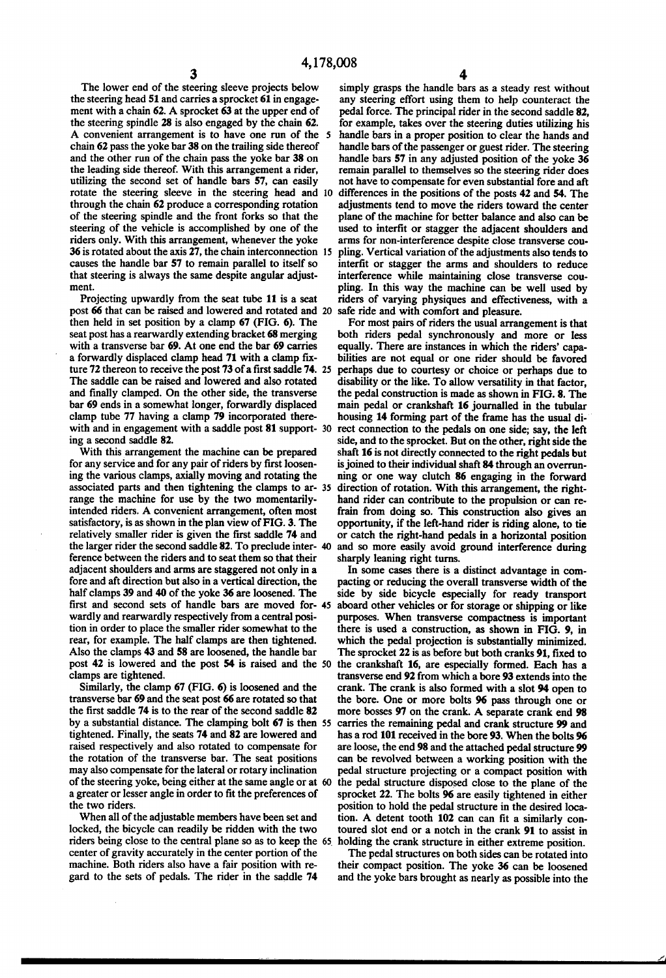The lower end of the steering sleeve projects below the steering head 51 and carries a sprocket 61 in engage ment with a chain 62. A sprocket 63 at the upper end of the steering spindle 28 is also engaged by the chain 62. A convenient arrangement is to have one run of the chain 62 pass the yoke bar 38 on the trailing side thereof and the other run of the chain pass the yoke bar 38 on the leading side thereof. With this arrangement a rider, utilizing the second set of handle bars 57, can easily rotate the steering sleeve in the steering head and 10 through the chain 62 produce a corresponding rotation of the steering spindle and the front forks so that the steering of the vehicle is accomplished by one of the riders only. With this arrangement, whenever the yoke 36 is rotated about the axis 27, the chain interconnection 5 causes the handle bar 57 to remain parallel to itself so that steering is always the same despite angular adjust ment.

Projecting upwardly from the seat tube 11 is a seat post 66 that can be raised and lowered and rotated and then held in set position by a clamp 67 (FIG. 6). The seat post has a rearwardly extending bracket 68 merging with a transverse bar 69. At one end the bar 69 carries a forwardly displaced clamp head 71 with a clamp fixture 72 thereon to receive the post 73 of a first saddle 74. 25 The saddle can be raised and lowered and also rotated and finally clamped. On the other side, the transverse bar 69 ends in a somewhat longer, forwardly displaced clamp tube 77 having a clamp 79 incorporated therewith and in engagement with a saddle post 81 support- 30 ing a second saddle 82.

With this arrangement the machine can be prepared for any service and for any pair of riders by first loosening the various clamps, axially moving and rotating the associated parts and then tightening the clamps to ar range the machine for use by the two momentarily intended riders. A convenient arrangement, often most satisfactory, is as shown in the plan view of FIG. 3. The relatively smaller rider is given the first saddle 74 and the larger rider the second saddle 82. To preclude inter- 40 ference between the riders and to seat them so that their adjacent shoulders and arms are staggered not only in a fore and aft direction but also in a vertical direction, the half clamps 39 and 40 of the yoke 36 are loosened. The wardly and rearwardly respectively from a central posi tion in order to place the smaller rider somewhat to the rear, for example. The half clamps are then tightened. Also the clamps 43 and 58 are loosened, the handle bar post 42 is lowered and the post 54 is raised and the clamps are tightened.

Similarly, the clamp 67 (FIG. 6) is loosened and the transverse bar 69 and the seat post 66 are rotated so that the first saddle 74 is to the rear of the second saddle 82 by a substantial distance. The clamping bolt 67 is then tightened. Finally, the seats 74 and 82 are lowered and raised respectively and also rotated to compensate for the rotation of the transverse bar. The seat positions may also compensate for the lateral or rotary inclination of the steering yoke, being either at the same angle or at 60 a greater or lesser angle in order to fit the preferences of the two riders.

When all of the adjustable members have been set and locked, the bicycle can readily be ridden with the two riders being close to the central plane so as to keep the 65. center of gravity accurately in the center portion of the machine. Both riders also have a fair position with re gard to the sets of pedals. The rider in the saddle 74

simply grasps the handle bars as a steady rest without any steering effort using them to help counteract the pedal force. The principal rider in the second saddle 82, for example, takes over the steering duties utilizing his handle bars in a proper position to clear the hands and handle bars of the passenger or guest rider. The steering handle bars 57 in any adjusted position of the yoke 36 remain parallel to themselves so the steering rider does not have to compensate for even substantial fore and aft differences in the positions of the posts 42 and 54. The adjustments tend to move the riders toward the center plane of the machine for better balance and also can be used to interfit or stagger the adjacent shoulders and arms for non-interference despite close transverse cou pling. Vertical variation of the adjustments also tends to interfit or stagger the arms and shoulders to reduce interference while maintaining close transverse cou pling. In this way the machine can be well used by riders of varying physiques and effectiveness, with a safe ride and with comfort and pleasure.

For most pairs of riders the usual arrangement is that both riders pedal synchronously and more or less equally. There are instances in which the riders' capa bilities are not equal or one rider should be favored perhaps due to courtesy or choice or perhaps due to disability or the like. To allow versatility in that factor, the pedal construction is made as shown in FIG. 8. The main pedal or crankshaft 16 journalled in the tubular housing 14 forming part of the frame has the usual direct connection to the pedals on one side; say, the left side, and to the sprocket. But on the other, right side the shaft 16 is not directly connected to the right pedals but is joined to their individual shaft 84 through an overrun ning or one way clutch 86 engaging in the forward direction of rotation. With this arrangement, the right hand rider can contribute to the propulsion or can re frain from doing so. This construction also gives an opportunity, if the left-hand rider is riding alone, to tie or catch the right-hand pedals in a horizontal position and so more easily avoid ground interference during sharply leaning right turns.

first and second sets of handle bars are moved for-45 aboard other vehicles or for storage or shipping or like In some cases there is a distinct advantage in com pacting or reducing the overall transverse width of the side by side bicycle especially for ready transport purposes. When transverse compactness is important there is used a construction, as shown in FIG. 9, in which the pedal projection is substantially minimized. The sprocket 22 is as before but both cranks 91, fixed to the crankshaft 16, are especially formed. Each has a transverse end 92 from which a bore 93 extends into the crank. The crank is also formed with a slot 94 open to the bore. One or more bolts 96 pass through one or more bosses 97 on the crank. A separate crank end 98 carries the remaining pedal and crank structure 99 and has a rod 101 received in the bore 93. When the bolts 96 are loose, the end 98 and the attached pedal structure 99 can be revolved between a working position with the pedal structure projecting or a compact position with the pedal structure disposed close to the plane of the sprocket 22. The bolts 96 are easily tightened in either position to hold the pedal structure in the desired loca tion. A detent tooth 102 can can fit a similarly contoured slot end or a notch in the crank 91 to assist in holding the crank structure in either extreme position.

> The pedal structures on both sides can be rotated into their compact position. The yoke 36 can be loosened and the yoke bars brought as nearly as possible into the

> > it